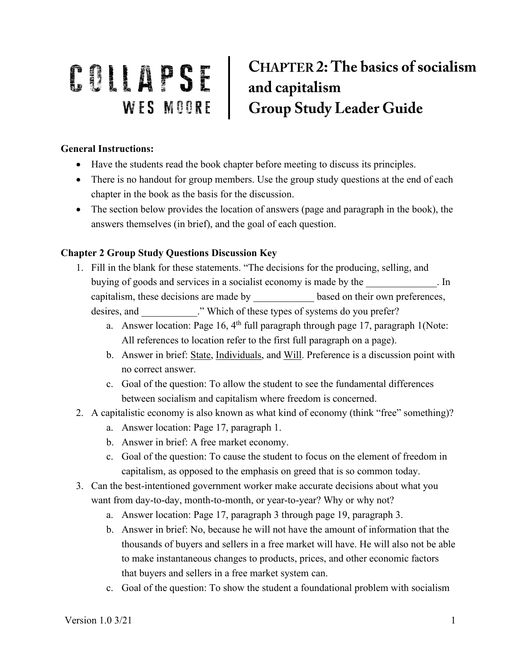## **CHAPTER 2: The basics of socialism** COLLAPSE CHAPTER 2: The basics of set and capitalism<br>WES MOORE Group Study Leader Guide

## **General Instructions:**

- Have the students read the book chapter before meeting to discuss its principles.
- There is no handout for group members. Use the group study questions at the end of each chapter in the book as the basis for the discussion.
- The section below provides the location of answers (page and paragraph in the book), the answers themselves (in brief), and the goal of each question.

## **Chapter 2 Group Study Questions Discussion Key**

- 1. Fill in the blank for these statements. "The decisions for the producing, selling, and buying of goods and services in a socialist economy is made by the  $\qquad \qquad$ . In capitalism, these decisions are made by based on their own preferences, desires, and  $\therefore$  " Which of these types of systems do you prefer?
	- a. Answer location: Page 16,  $4<sup>th</sup>$  full paragraph through page 17, paragraph 1(Note: All references to location refer to the first full paragraph on a page).
	- b. Answer in brief: State, Individuals, and Will. Preference is a discussion point with no correct answer.
	- c. Goal of the question: To allow the student to see the fundamental differences between socialism and capitalism where freedom is concerned.
- 2. A capitalistic economy is also known as what kind of economy (think "free" something)?
	- a. Answer location: Page 17, paragraph 1.
	- b. Answer in brief: A free market economy.
	- c. Goal of the question: To cause the student to focus on the element of freedom in capitalism, as opposed to the emphasis on greed that is so common today.
- 3. Can the best-intentioned government worker make accurate decisions about what you want from day-to-day, month-to-month, or year-to-year? Why or why not?
	- a. Answer location: Page 17, paragraph 3 through page 19, paragraph 3.
	- b. Answer in brief: No, because he will not have the amount of information that the thousands of buyers and sellers in a free market will have. He will also not be able to make instantaneous changes to products, prices, and other economic factors that buyers and sellers in a free market system can.
	- c. Goal of the question: To show the student a foundational problem with socialism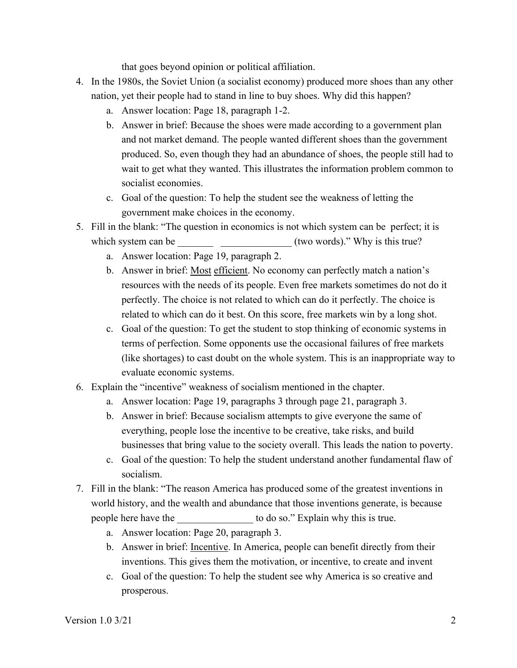that goes beyond opinion or political affiliation.

- 4. In the 1980s, the Soviet Union (a socialist economy) produced more shoes than any other nation, yet their people had to stand in line to buy shoes. Why did this happen?
	- a. Answer location: Page 18, paragraph 1-2.
	- b. Answer in brief: Because the shoes were made according to a government plan and not market demand. The people wanted different shoes than the government produced. So, even though they had an abundance of shoes, the people still had to wait to get what they wanted. This illustrates the information problem common to socialist economies.
	- c. Goal of the question: To help the student see the weakness of letting the government make choices in the economy.
- 5. Fill in the blank: "The question in economics is not which system can be perfect; it is which system can be  $($ two words)." Why is this true?
	- a. Answer location: Page 19, paragraph 2.
	- b. Answer in brief: Most efficient. No economy can perfectly match a nation's resources with the needs of its people. Even free markets sometimes do not do it perfectly. The choice is not related to which can do it perfectly. The choice is related to which can do it best. On this score, free markets win by a long shot.
	- c. Goal of the question: To get the student to stop thinking of economic systems in terms of perfection. Some opponents use the occasional failures of free markets (like shortages) to cast doubt on the whole system. This is an inappropriate way to evaluate economic systems.
- 6. Explain the "incentive" weakness of socialism mentioned in the chapter.
	- a. Answer location: Page 19, paragraphs 3 through page 21, paragraph 3.
	- b. Answer in brief: Because socialism attempts to give everyone the same of everything, people lose the incentive to be creative, take risks, and build businesses that bring value to the society overall. This leads the nation to poverty.
	- c. Goal of the question: To help the student understand another fundamental flaw of socialism.
- 7. Fill in the blank: "The reason America has produced some of the greatest inventions in world history, and the wealth and abundance that those inventions generate, is because people here have the to do so." Explain why this is true.
	- a. Answer location: Page 20, paragraph 3.
	- b. Answer in brief: Incentive. In America, people can benefit directly from their inventions. This gives them the motivation, or incentive, to create and invent
	- c. Goal of the question: To help the student see why America is so creative and prosperous.